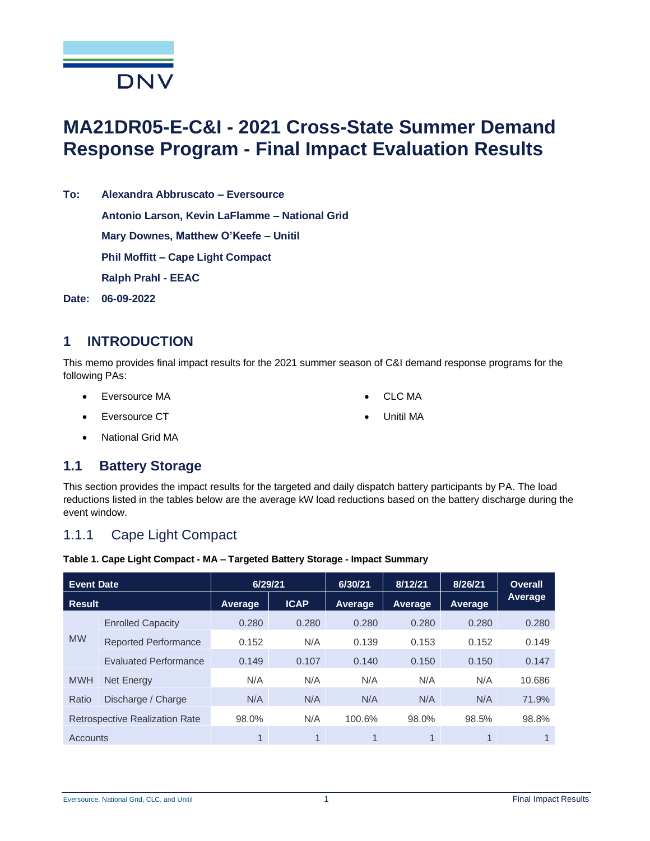

# **MA21DR05-E-C&I - 2021 Cross-State Summer Demand Response Program - Final Impact Evaluation Results**

**To: Alexandra Abbruscato – Eversource** 

**Antonio Larson, Kevin LaFlamme – National Grid**

**Mary Downes, Matthew O'Keefe – Unitil**

**Phil Moffitt – Cape Light Compact**

**Ralph Prahl - EEAC**

**Date: 06-09-2022**

# **1 INTRODUCTION**

This memo provides final impact results for the 2021 summer season of C&I demand response programs for the following PAs:

• Eversource MA

• CLC MA

• Eversource CT

• Unitil MA

• National Grid MA

# **1.1 Battery Storage**

This section provides the impact results for the targeted and daily dispatch battery participants by PA. The load reductions listed in the tables below are the average kW load reductions based on the battery discharge during the event window.

# 1.1.1 Cape Light Compact

#### **Table 1. Cape Light Compact - MA – Targeted Battery Storage - Impact Summary**

| <b>Event Date</b>                     |                              | 6/29/21        |             | 6/30/21 | 8/12/21        | 8/26/21        | <b>Overall</b> |
|---------------------------------------|------------------------------|----------------|-------------|---------|----------------|----------------|----------------|
| <b>Result</b>                         |                              | <b>Average</b> | <b>ICAP</b> | Average | Average        | <b>Average</b> | <b>Average</b> |
| <b>MW</b>                             | <b>Enrolled Capacity</b>     | 0.280          | 0.280       | 0.280   | 0.280          | 0.280          | 0.280          |
|                                       | <b>Reported Performance</b>  | 0.152          | N/A         | 0.139   | 0.153          | 0.152          | 0.149          |
|                                       | <b>Evaluated Performance</b> | 0.149          | 0.107       | 0.140   | 0.150          | 0.150          | 0.147          |
| <b>MWH</b>                            | <b>Net Energy</b>            | N/A            | N/A         | N/A     | N/A            | N/A            | 10.686         |
| Ratio                                 | Discharge / Charge           | N/A            | N/A         | N/A     | N/A            | N/A            | 71.9%          |
| <b>Retrospective Realization Rate</b> |                              | 98.0%          | N/A         | 100.6%  | 98.0%          | 98.5%          | 98.8%          |
| Accounts                              |                              | 1              | 1           |         | $\overline{1}$ |                |                |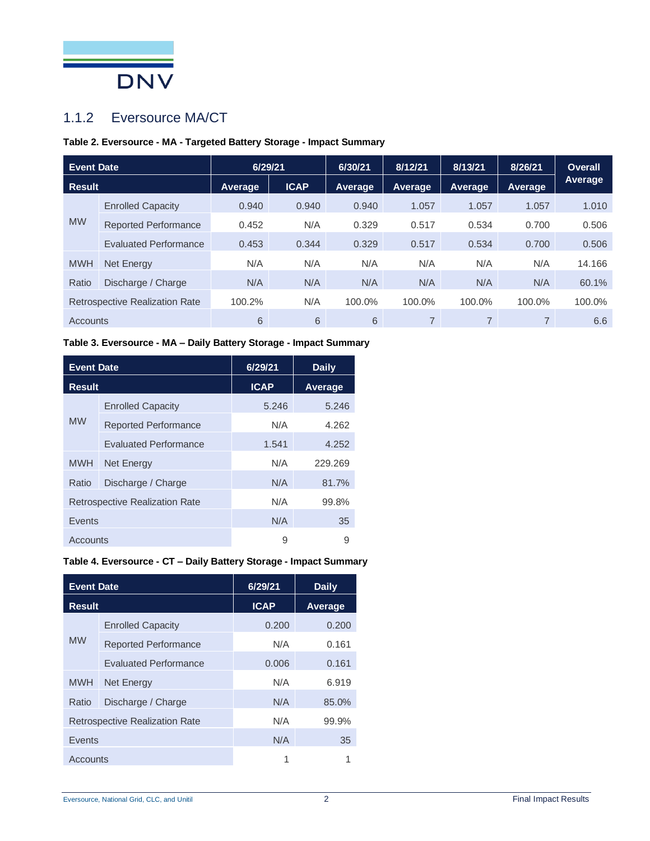

# 1.1.2 Eversource MA/CT

### **Table 2. Eversource - MA - Targeted Battery Storage - Impact Summary**

| <b>Event Date</b>                     |                              | 6/29/21 |             | 6/30/21 | 8/12/21        | 8/13/21        | 8/26/21 | <b>Overall</b> |
|---------------------------------------|------------------------------|---------|-------------|---------|----------------|----------------|---------|----------------|
| <b>Result</b>                         |                              | Average | <b>ICAP</b> | Average | <b>Average</b> | <b>Average</b> | Average | <b>Average</b> |
| <b>MW</b>                             | <b>Enrolled Capacity</b>     | 0.940   | 0.940       | 0.940   | 1.057          | 1.057          | 1.057   | 1.010          |
|                                       | <b>Reported Performance</b>  | 0.452   | N/A         | 0.329   | 0.517          | 0.534          | 0.700   | 0.506          |
|                                       | <b>Evaluated Performance</b> | 0.453   | 0.344       | 0.329   | 0.517          | 0.534          | 0.700   | 0.506          |
| <b>MWH</b>                            | <b>Net Energy</b>            | N/A     | N/A         | N/A     | N/A            | N/A            | N/A     | 14.166         |
| Ratio                                 | Discharge / Charge           | N/A     | N/A         | N/A     | N/A            | N/A            | N/A     | 60.1%          |
| <b>Retrospective Realization Rate</b> |                              | 100.2%  | N/A         | 100.0%  | 100.0%         | 100.0%         | 100.0%  | 100.0%         |
| <b>Accounts</b>                       |                              | 6       | 6           | 6       | 7              | $\overline{7}$ |         | 6.6            |

### **Table 3. Eversource - MA – Daily Battery Storage - Impact Summary**

| <b>Event Date</b> |                                       | 6/29/21     | <b>Daily</b> |
|-------------------|---------------------------------------|-------------|--------------|
| <b>Result</b>     |                                       | <b>ICAP</b> | Average      |
|                   | <b>Enrolled Capacity</b>              | 5.246       | 5.246        |
| <b>MW</b>         | <b>Reported Performance</b>           | N/A         | 4.262        |
|                   | <b>Evaluated Performance</b>          | 1.541       | 4.252        |
| <b>MWH</b>        | Net Energy                            | N/A         | 229.269      |
| Ratio             | Discharge / Charge                    | N/A         | 81.7%        |
|                   | <b>Retrospective Realization Rate</b> | N/A         | 99.8%        |
| Events            |                                       | N/A         | 35           |
| Accounts          |                                       | 9           | 9            |

### **Table 4. Eversource - CT – Daily Battery Storage - Impact Summary**

| <b>Event Date</b> |                                       | 6/29/21     | <b>Daily</b>   |  |
|-------------------|---------------------------------------|-------------|----------------|--|
| <b>Result</b>     |                                       | <b>ICAP</b> | <b>Average</b> |  |
|                   | <b>Enrolled Capacity</b>              | 0.200       | 0.200          |  |
| <b>MW</b>         | <b>Reported Performance</b>           | N/A         | 0.161          |  |
|                   | <b>Evaluated Performance</b>          | 0.006       | 0.161          |  |
| <b>MWH</b>        | Net Energy                            | N/A         | 6.919          |  |
| Ratio             | Discharge / Charge                    | N/A         | 85.0%          |  |
|                   | <b>Retrospective Realization Rate</b> | N/A         | 99.9%          |  |
| Events            |                                       | N/A         | 35             |  |
| Accounts          |                                       |             |                |  |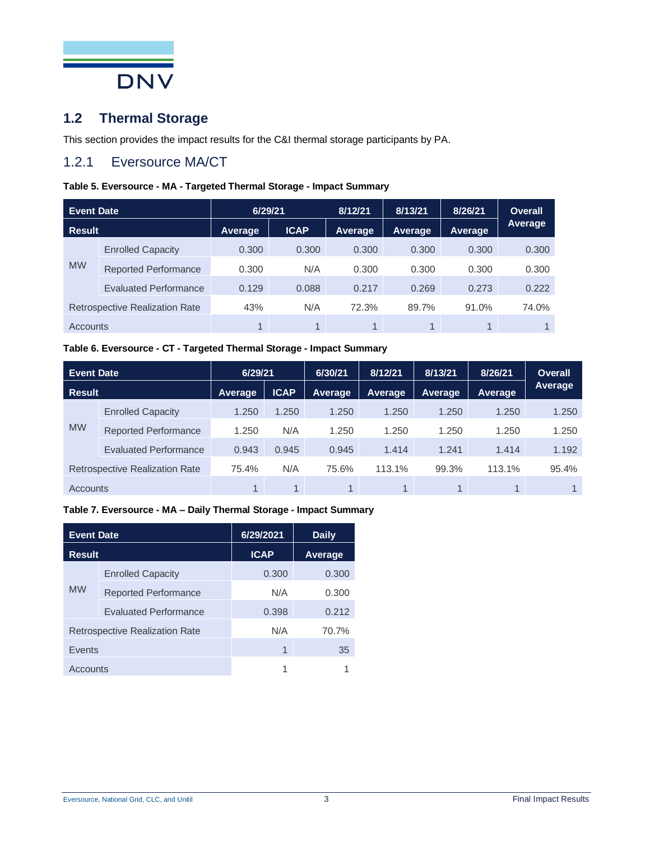

# **1.2 Thermal Storage**

This section provides the impact results for the C&I thermal storage participants by PA.

# 1.2.1 Eversource MA/CT

### **Table 5. Eversource - MA - Targeted Thermal Storage - Impact Summary**

| <b>Event Date</b>                     |                              | 6/29/21 |                | 8/12/21 | 8/13/21        | 8/26/21        | <b>Overall</b> |
|---------------------------------------|------------------------------|---------|----------------|---------|----------------|----------------|----------------|
| <b>Result</b>                         |                              | Average | <b>ICAP</b>    | Average | <b>Average</b> | <b>Average</b> | Average        |
|                                       | <b>Enrolled Capacity</b>     | 0.300   | 0.300          | 0.300   | 0.300          | 0.300          | 0.300          |
| <b>MW</b>                             | <b>Reported Performance</b>  | 0.300   | N/A            | 0.300   | 0.300          | 0.300          | 0.300          |
|                                       | <b>Evaluated Performance</b> | 0.129   | 0.088          | 0.217   | 0.269          | 0.273          | 0.222          |
| <b>Retrospective Realization Rate</b> |                              | 43%     | N/A            | 72.3%   | 89.7%          | 91.0%          | 74.0%          |
| Accounts                              |                              |         | $\overline{ }$ |         | $\mathbf{1}$   | и              |                |

### **Table 6. Eversource - CT - Targeted Thermal Storage - Impact Summary**

| <b>Event Date</b>                     |                              | 6/29/21 |             | 6/30/21 | 8/12/21        | 8/13/21        | 8/26/21 | <b>Overall</b> |
|---------------------------------------|------------------------------|---------|-------------|---------|----------------|----------------|---------|----------------|
| <b>Result</b>                         |                              | Average | <b>ICAP</b> | Average | <b>Average</b> | <b>Average</b> | Average | <b>Average</b> |
| <b>MW</b>                             | <b>Enrolled Capacity</b>     | 1.250   | 1.250       | 1.250   | 1.250          | 1.250          | 1.250   | 1.250          |
|                                       | <b>Reported Performance</b>  | 1.250   | N/A         | 1.250   | 1.250          | 1.250          | 1.250   | 1.250          |
|                                       | <b>Evaluated Performance</b> | 0.943   | 0.945       | 0.945   | 1.414          | 1.241          | 1.414   | 1.192          |
| <b>Retrospective Realization Rate</b> |                              | 75.4%   | N/A         | 75.6%   | 113.1%         | 99.3%          | 113.1%  | 95.4%          |
| Accounts                              |                              |         |             |         |                |                |         |                |

#### **Table 7. Eversource - MA – Daily Thermal Storage - Impact Summary**

| <b>Event Date</b> |                                       | 6/29/2021   | <b>Daily</b>   |  |
|-------------------|---------------------------------------|-------------|----------------|--|
| <b>Result</b>     |                                       | <b>ICAP</b> | <b>Average</b> |  |
|                   | <b>Enrolled Capacity</b>              | 0.300       | 0.300          |  |
| <b>MW</b>         | <b>Reported Performance</b>           | N/A         | 0.300          |  |
|                   | <b>Evaluated Performance</b>          | 0.398       | 0.212          |  |
|                   | <b>Retrospective Realization Rate</b> | N/A         | 70.7%          |  |
| Events            |                                       | 1           | 35             |  |
| Accounts          |                                       |             |                |  |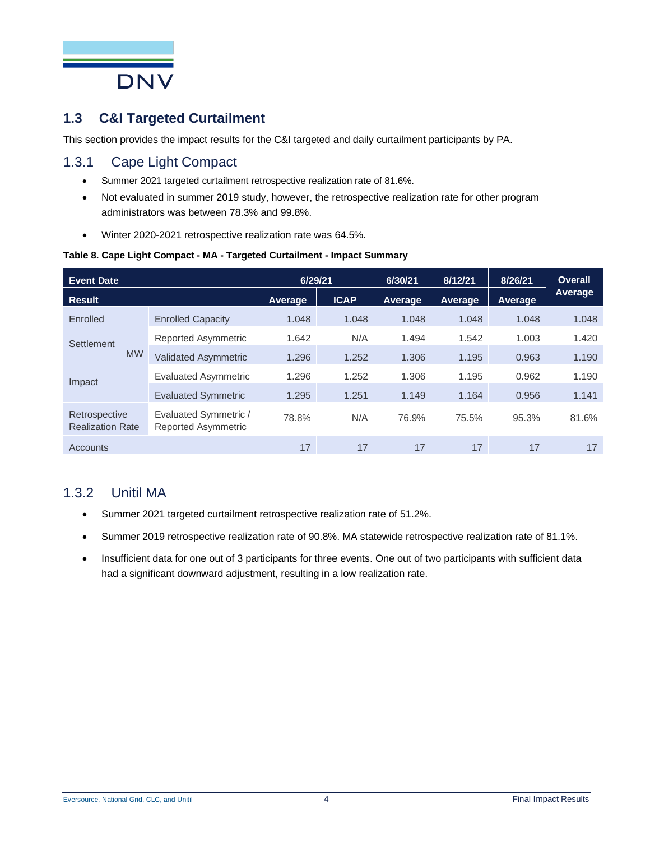

# **1.3 C&I Targeted Curtailment**

This section provides the impact results for the C&I targeted and daily curtailment participants by PA.

# 1.3.1 Cape Light Compact

- Summer 2021 targeted curtailment retrospective realization rate of 81.6%.
- Not evaluated in summer 2019 study, however, the retrospective realization rate for other program administrators was between 78.3% and 99.8%.
- Winter 2020-2021 retrospective realization rate was 64.5%.

|  | Table 8. Cape Light Compact - MA - Targeted Curtailment - Impact Summary |  |
|--|--------------------------------------------------------------------------|--|
|  |                                                                          |  |
|  |                                                                          |  |

| <b>Event Date</b>                        |           |                                                     | 6/29/21        |             | 6/30/21 | 8/12/21 | 8/26/21 | <b>Overall</b> |
|------------------------------------------|-----------|-----------------------------------------------------|----------------|-------------|---------|---------|---------|----------------|
| <b>Result</b>                            |           |                                                     | <b>Average</b> | <b>ICAP</b> | Average | Average | Average | <b>Average</b> |
| Enrolled                                 |           | <b>Enrolled Capacity</b>                            | 1.048          | 1.048       | 1.048   | 1.048   | 1.048   | 1.048          |
| Settlement                               |           | Reported Asymmetric                                 | 1.642          | N/A         | 1.494   | 1.542   | 1.003   | 1.420          |
|                                          | <b>MW</b> | <b>Validated Asymmetric</b>                         | 1.296          | 1.252       | 1.306   | 1.195   | 0.963   | 1.190          |
| Impact                                   |           | <b>Evaluated Asymmetric</b>                         | 1.296          | 1.252       | 1.306   | 1.195   | 0.962   | 1.190          |
|                                          |           | <b>Evaluated Symmetric</b>                          | 1.295          | 1.251       | 1.149   | 1.164   | 0.956   | 1.141          |
| Retrospective<br><b>Realization Rate</b> |           | Evaluated Symmetric /<br><b>Reported Asymmetric</b> | 78.8%          | N/A         | 76.9%   | 75.5%   | 95.3%   | 81.6%          |
| Accounts                                 |           |                                                     | 17             | 17          | 17      | 17      | 17      | 17             |

# 1.3.2 Unitil MA

- Summer 2021 targeted curtailment retrospective realization rate of 51.2%.
- Summer 2019 retrospective realization rate of 90.8%. MA statewide retrospective realization rate of 81.1%.
- Insufficient data for one out of 3 participants for three events. One out of two participants with sufficient data had a significant downward adjustment, resulting in a low realization rate.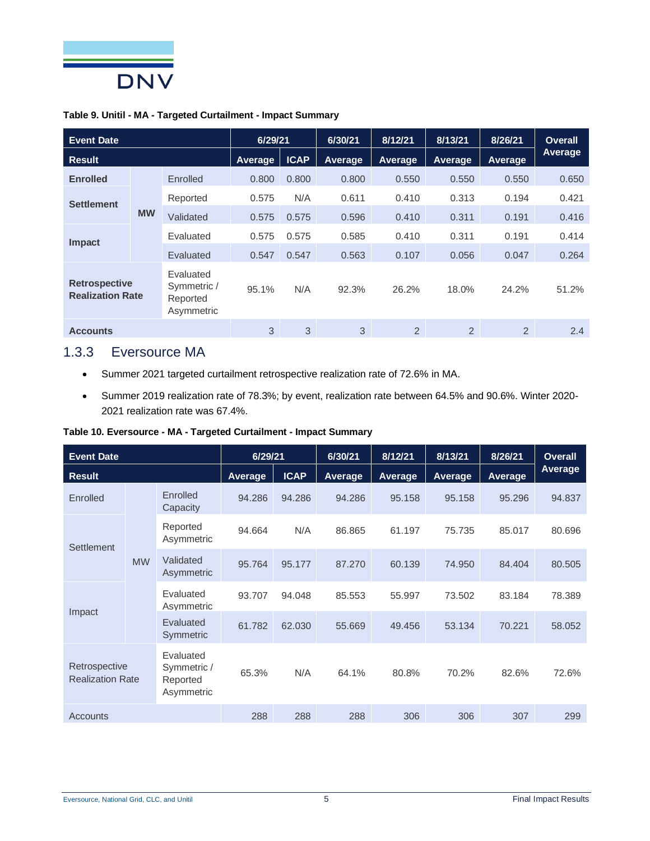

#### **Table 9. Unitil - MA - Targeted Curtailment - Impact Summary**

| <b>Event Date</b>                               |           |                                                    | 6/29/21 |             | 6/30/21 | 8/12/21        | 8/13/21 | 8/26/21        | <b>Overall</b> |
|-------------------------------------------------|-----------|----------------------------------------------------|---------|-------------|---------|----------------|---------|----------------|----------------|
| <b>Result</b>                                   |           |                                                    | Average | <b>ICAP</b> | Average | <b>Average</b> | Average | Average        | Average        |
| <b>Enrolled</b>                                 |           | Enrolled                                           | 0.800   | 0.800       | 0.800   | 0.550          | 0.550   | 0.550          | 0.650          |
| <b>Settlement</b>                               | <b>MW</b> | Reported                                           | 0.575   | N/A         | 0.611   | 0.410          | 0.313   | 0.194          | 0.421          |
|                                                 |           | Validated                                          | 0.575   | 0.575       | 0.596   | 0.410          | 0.311   | 0.191          | 0.416          |
| Impact                                          |           | Evaluated                                          | 0.575   | 0.575       | 0.585   | 0.410          | 0.311   | 0.191          | 0.414          |
|                                                 |           | Evaluated                                          | 0.547   | 0.547       | 0.563   | 0.107          | 0.056   | 0.047          | 0.264          |
| <b>Retrospective</b><br><b>Realization Rate</b> |           | Evaluated<br>Symmetric /<br>Reported<br>Asymmetric | 95.1%   | N/A         | 92.3%   | 26.2%          | 18.0%   | 24.2%          | 51.2%          |
| <b>Accounts</b>                                 |           |                                                    | 3       | 3           | 3       | $\overline{2}$ | 2       | $\overline{2}$ | 2.4            |

# 1.3.3 Eversource MA

- Summer 2021 targeted curtailment retrospective realization rate of 72.6% in MA.
- Summer 2019 realization rate of 78.3%; by event, realization rate between 64.5% and 90.6%. Winter 2020- 2021 realization rate was 67.4%.

### **Table 10. Eversource - MA - Targeted Curtailment - Impact Summary**

| <b>Event Date</b>                        |           |                                                    | 6/29/21        |             | 6/30/21 | 8/12/21 | 8/13/21 | 8/26/21 | <b>Overall</b> |
|------------------------------------------|-----------|----------------------------------------------------|----------------|-------------|---------|---------|---------|---------|----------------|
| <b>Result</b>                            |           |                                                    | <b>Average</b> | <b>ICAP</b> | Average | Average | Average | Average | Average        |
| Enrolled                                 |           | Enrolled<br>Capacity                               | 94.286         | 94.286      | 94.286  | 95.158  | 95.158  | 95.296  | 94.837         |
| Settlement                               |           | Reported<br>Asymmetric                             | 94.664         | N/A         | 86.865  | 61.197  | 75.735  | 85,017  | 80.696         |
|                                          | <b>MW</b> | Validated<br>Asymmetric                            | 95.764         | 95.177      | 87,270  | 60.139  | 74.950  | 84.404  | 80.505         |
|                                          |           | Evaluated<br>Asymmetric                            | 93.707         | 94.048      | 85.553  | 55.997  | 73.502  | 83.184  | 78.389         |
| Impact                                   |           | Evaluated<br>Symmetric                             | 61.782         | 62.030      | 55.669  | 49.456  | 53.134  | 70.221  | 58.052         |
| Retrospective<br><b>Realization Rate</b> |           | Evaluated<br>Symmetric /<br>Reported<br>Asymmetric | 65.3%          | N/A         | 64.1%   | 80.8%   | 70.2%   | 82.6%   | 72.6%          |
| Accounts                                 |           |                                                    | 288            | 288         | 288     | 306     | 306     | 307     | 299            |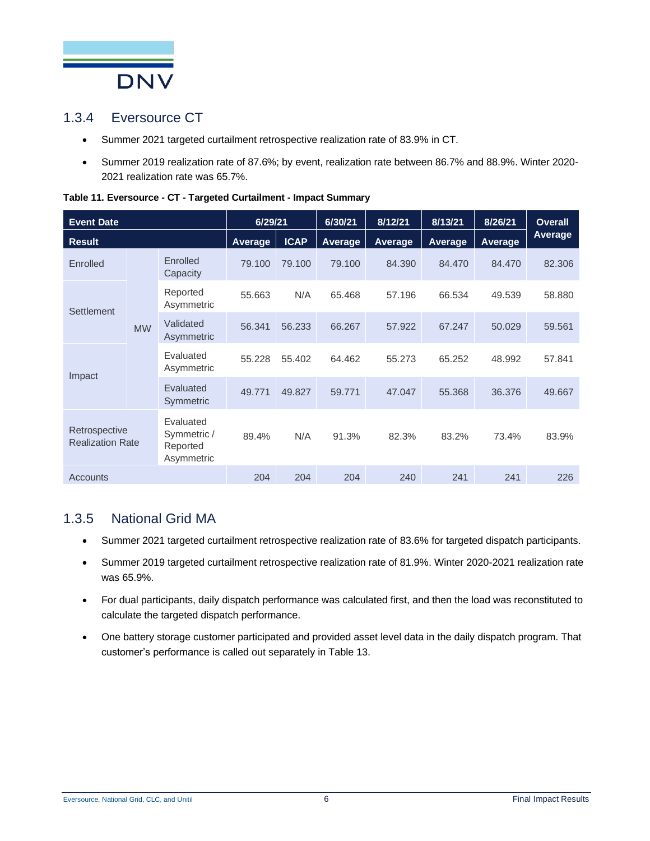

### 1.3.4 Eversource CT

- Summer 2021 targeted curtailment retrospective realization rate of 83.9% in CT.
- Summer 2019 realization rate of 87.6%; by event, realization rate between 86.7% and 88.9%. Winter 2020- 2021 realization rate was 65.7%.

| <b>Event Date</b>                        |           |                                                    | 6/29/21 |             | 6/30/21        | 8/12/21 | 8/13/21 | 8/26/21 | <b>Overall</b> |
|------------------------------------------|-----------|----------------------------------------------------|---------|-------------|----------------|---------|---------|---------|----------------|
| <b>Result</b>                            |           |                                                    | Average | <b>ICAP</b> | <b>Average</b> | Average | Average | Average | <b>Average</b> |
| Enrolled                                 |           | Enrolled<br>Capacity                               | 79.100  | 79.100      | 79.100         | 84.390  | 84.470  | 84.470  | 82,306         |
| Settlement                               | <b>MW</b> | Reported<br>Asymmetric                             | 55.663  | N/A         | 65.468         | 57.196  | 66.534  | 49.539  | 58.880         |
|                                          |           | Validated<br>Asymmetric                            | 56.341  | 56.233      | 66.267         | 57.922  | 67.247  | 50.029  | 59.561         |
|                                          |           | Evaluated<br>Asymmetric                            | 55.228  | 55.402      | 64.462         | 55.273  | 65.252  | 48.992  | 57.841         |
| Impact                                   |           | Evaluated<br>Symmetric                             | 49.771  | 49.827      | 59.771         | 47.047  | 55.368  | 36.376  | 49.667         |
| Retrospective<br><b>Realization Rate</b> |           | Evaluated<br>Symmetric /<br>Reported<br>Asymmetric | 89.4%   | N/A         | 91.3%          | 82.3%   | 83.2%   | 73.4%   | 83.9%          |
| <b>Accounts</b>                          |           |                                                    | 204     | 204         | 204            | 240     | 241     | 241     | 226            |

#### **Table 11. Eversource - CT - Targeted Curtailment - Impact Summary**

# 1.3.5 National Grid MA

- Summer 2021 targeted curtailment retrospective realization rate of 83.6% for targeted dispatch participants.
- Summer 2019 targeted curtailment retrospective realization rate of 81.9%. Winter 2020-2021 realization rate was 65.9%.
- For dual participants, daily dispatch performance was calculated first, and then the load was reconstituted to calculate the targeted dispatch performance.
- One battery storage customer participated and provided asset level data in the daily dispatch program. That customer's performance is called out separately in Table 13.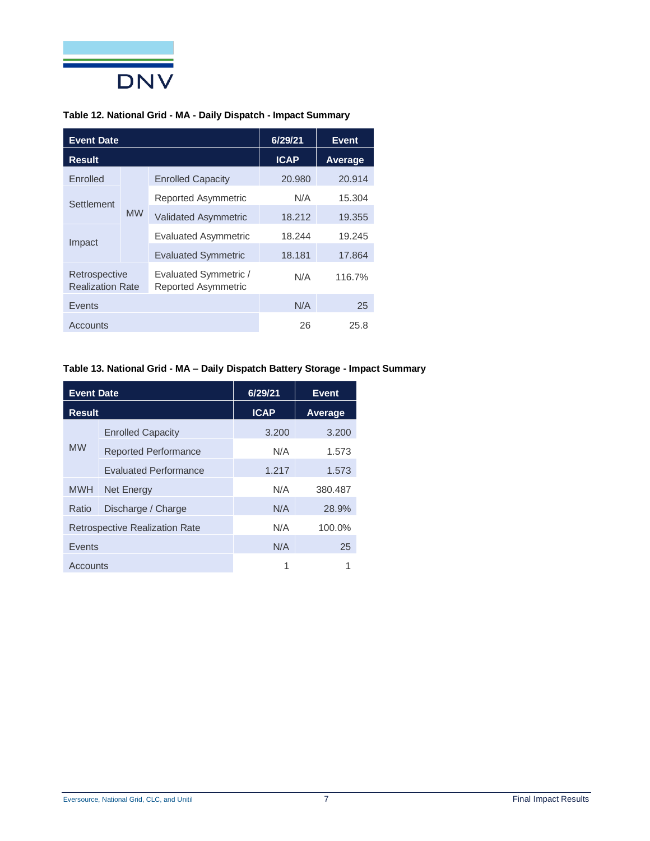

### **Table 12. National Grid - MA - Daily Dispatch - Impact Summary**

| <b>Event Date</b>                        |           |                                              | 6/29/21     | <b>Event</b> |  |
|------------------------------------------|-----------|----------------------------------------------|-------------|--------------|--|
| <b>Result</b>                            |           |                                              | <b>ICAP</b> | Average      |  |
| Enrolled                                 | <b>MW</b> | <b>Enrolled Capacity</b>                     | 20.980      | 20.914       |  |
| Settlement                               |           | Reported Asymmetric                          | N/A         | 15.304       |  |
|                                          |           | <b>Validated Asymmetric</b><br>18.212        |             | 19.355       |  |
| Impact                                   |           | <b>Evaluated Asymmetric</b><br>18.244        |             | 19.245       |  |
|                                          |           | <b>Evaluated Symmetric</b>                   | 18.181      | 17.864       |  |
| Retrospective<br><b>Realization Rate</b> |           | Evaluated Symmetric /<br>Reported Asymmetric | N/A         | 116.7%       |  |
| Events                                   |           |                                              | N/A         | 25           |  |
| Accounts                                 |           |                                              | 26          | 25.8         |  |

### **Table 13. National Grid - MA – Daily Dispatch Battery Storage - Impact Summary**

| <b>Event Date</b>                     |                              | 6/29/21     | <b>Event</b> |  |
|---------------------------------------|------------------------------|-------------|--------------|--|
| <b>Result</b>                         |                              | <b>ICAP</b> | Average      |  |
| <b>MW</b>                             | <b>Enrolled Capacity</b>     | 3.200       | 3.200        |  |
|                                       | <b>Reported Performance</b>  | N/A         | 1.573        |  |
|                                       | <b>Evaluated Performance</b> | 1.217       | 1.573        |  |
| <b>MWH</b>                            | Net Energy                   | N/A         | 380.487      |  |
| Ratio                                 | Discharge / Charge           | N/A         | 28.9%        |  |
| <b>Retrospective Realization Rate</b> |                              | N/A         | 100.0%       |  |
| Events                                |                              | N/A         | 25           |  |
| Accounts                              |                              | 1           |              |  |